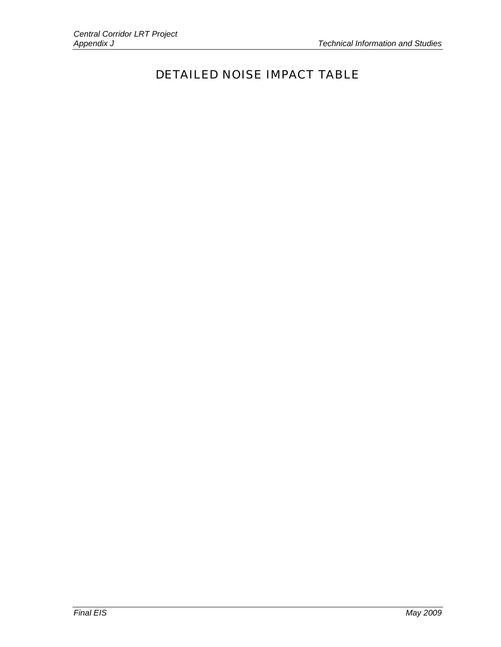## DETAILED NOISE IMPACT TABLE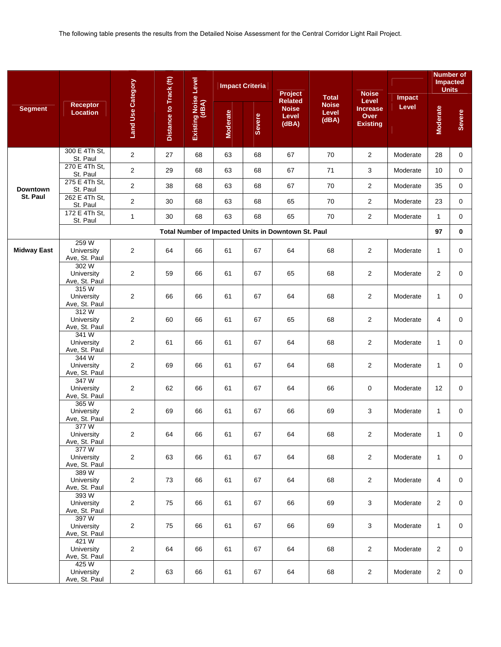|                    |                                      |                          |                        |                               | <b>Impact Criteria</b> |               | Project                                             | <b>Total</b>                   | <b>Noise</b>                                        | Impact   | <b>Units</b>    | <b>Number of</b><br><b>Impacted</b> |
|--------------------|--------------------------------------|--------------------------|------------------------|-------------------------------|------------------------|---------------|-----------------------------------------------------|--------------------------------|-----------------------------------------------------|----------|-----------------|-------------------------------------|
| <b>Segment</b>     | <b>Receptor</b><br><b>Location</b>   | <b>Land Use Category</b> | Distance to Track (ft) | Existing Noise Level<br>(dBA) | <b>Moderate</b>        | <b>Severe</b> | <b>Related</b><br><b>Noise</b><br>Level<br>(dBA)    | <b>Noise</b><br>Level<br>(dBA) | Level<br><b>Increase</b><br>Over<br><b>Existing</b> | Level    | <b>Moderate</b> | Severe                              |
|                    | 300 E 4Th St,<br>St. Paul            | $\overline{c}$           | 27                     | 68                            | 63                     | 68            | 67                                                  | 70                             | $\overline{2}$                                      | Moderate | 28              | 0                                   |
|                    | 270 E 4Th St,<br>St. Paul            | $\overline{2}$           | 29                     | 68                            | 63                     | 68            | 67                                                  | 71                             | 3                                                   | Moderate | 10              | $\mathbf{0}$                        |
| <b>Downtown</b>    | 275 E 4Th St,<br>St. Paul            | $\mathbf{2}$             | 38                     | 68                            | 63                     | 68            | 67                                                  | 70                             | $\overline{2}$                                      | Moderate | 35              | 0                                   |
| St. Paul           | 262 E 4Th St,<br>St. Paul            | $\overline{2}$           | 30                     | 68                            | 63                     | 68            | 65                                                  | 70                             | $\overline{2}$                                      | Moderate | 23              | $\mathbf 0$                         |
|                    | 172 E 4Th St,<br>St. Paul            | $\mathbf{1}$             | 30                     | 68                            | 63                     | 68            | 65                                                  | 70                             | $\overline{2}$                                      | Moderate | $\mathbf{1}$    | 0                                   |
|                    |                                      |                          |                        |                               |                        |               | Total Number of Impacted Units in Downtown St. Paul |                                |                                                     |          | 97              | 0                                   |
| <b>Midway East</b> | 259 W<br>University<br>Ave, St. Paul | $\overline{c}$           | 64                     | 66                            | 61                     | 67            | 64                                                  | 68                             | $\overline{2}$                                      | Moderate | $\mathbf{1}$    | $\mathbf 0$                         |
|                    | 302W<br>University<br>Ave, St. Paul  | $\overline{c}$           | 59                     | 66                            | 61                     | 67            | 65                                                  | 68                             | $\overline{2}$                                      | Moderate | $\overline{2}$  | $\mathbf 0$                         |
|                    | 315W<br>University<br>Ave, St. Paul  | $\overline{2}$           | 66                     | 66                            | 61                     | 67            | 64                                                  | 68                             | $\overline{2}$                                      | Moderate | $\mathbf{1}$    | 0                                   |
|                    | 312W<br>University<br>Ave, St. Paul  | $\mathbf{2}$             | 60                     | 66                            | 61                     | 67            | 65                                                  | 68                             | $\overline{2}$                                      | Moderate | 4               | 0                                   |
|                    | 341W<br>University<br>Ave, St. Paul  | $\overline{c}$           | 61                     | 66                            | 61                     | 67            | 64                                                  | 68                             | $\overline{c}$                                      | Moderate | $\mathbf{1}$    | 0                                   |
|                    | 344 W<br>University<br>Ave, St. Paul | $\overline{2}$           | 69                     | 66                            | 61                     | 67            | 64                                                  | 68                             | $\overline{2}$                                      | Moderate | $\mathbf{1}$    | 0                                   |
|                    | 347 W<br>University<br>Ave, St. Paul | $\overline{c}$           | 62                     | 66                            | 61                     | 67            | 64                                                  | 66                             | 0                                                   | Moderate | 12              | 0                                   |
|                    | 365W<br>University<br>Ave, St. Paul  | $\overline{c}$           | 69                     | 66                            | 61                     | 67            | 66                                                  | 69                             | 3                                                   | Moderate | $\mathbf{1}$    | $\mathbf 0$                         |
|                    | 377W<br>University<br>Ave, St. Paul  | 2                        | 64                     | 66                            | 61                     | 67            | 64                                                  | 68                             | $\overline{a}$                                      | Moderate | $\mathbf{1}$    | 0                                   |
|                    | 377W<br>University<br>Ave, St. Paul  | $\overline{2}$           | 63                     | 66                            | 61                     | 67            | 64                                                  | 68                             | $\overline{2}$                                      | Moderate | $\mathbf{1}$    | $\mathbf 0$                         |
|                    | 389W<br>University<br>Ave, St. Paul  | $\overline{2}$           | 73                     | 66                            | 61                     | 67            | 64                                                  | 68                             | $\overline{2}$                                      | Moderate | 4               | 0                                   |
|                    | 393W<br>University<br>Ave, St. Paul  | $\overline{2}$           | 75                     | 66                            | 61                     | 67            | 66                                                  | 69                             | 3                                                   | Moderate | $\overline{2}$  | 0                                   |
|                    | 397W<br>University<br>Ave, St. Paul  | $\overline{2}$           | 75                     | 66                            | 61                     | 67            | 66                                                  | 69                             | 3                                                   | Moderate | $\mathbf{1}$    | 0                                   |
|                    | 421W<br>University<br>Ave, St. Paul  | $\overline{2}$           | 64                     | 66                            | 61                     | 67            | 64                                                  | 68                             | $\overline{2}$                                      | Moderate | $\overline{2}$  | 0                                   |
|                    | 425W<br>University<br>Ave, St. Paul  | $\overline{2}$           | 63                     | 66                            | 61                     | 67            | 64                                                  | 68                             | $\overline{2}$                                      | Moderate | $\overline{2}$  | 0                                   |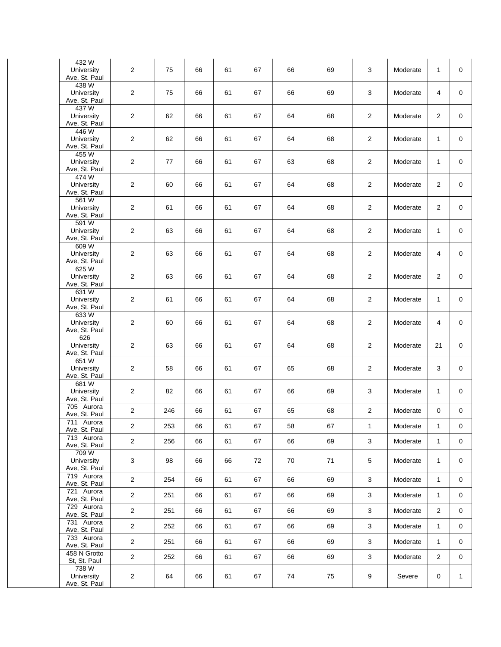| 432W<br>University<br>Ave, St. Paul                  | $\overline{2}$ | 75  | 66 | 61 | 67 | 66 | 69 | 3              | Moderate | 1              | 0            |
|------------------------------------------------------|----------------|-----|----|----|----|----|----|----------------|----------|----------------|--------------|
| 438 W<br>University<br>Ave, St. Paul                 | $\overline{2}$ | 75  | 66 | 61 | 67 | 66 | 69 | $\mathsf 3$    | Moderate | 4              | $\mathbf 0$  |
| 437 W<br>University<br>Ave, St. Paul                 | $\overline{2}$ | 62  | 66 | 61 | 67 | 64 | 68 | 2              | Moderate | $\overline{2}$ | $\mathbf 0$  |
| 446 W<br>University<br>Ave, St. Paul                 | $\overline{2}$ | 62  | 66 | 61 | 67 | 64 | 68 | $\overline{c}$ | Moderate | $\mathbf{1}$   | 0            |
| 455W<br>University<br>Ave, St. Paul                  | $\overline{2}$ | 77  | 66 | 61 | 67 | 63 | 68 | $\overline{2}$ | Moderate | $\mathbf{1}$   | $\mathbf 0$  |
| 474W<br>University<br>Ave, St. Paul                  | $\overline{2}$ | 60  | 66 | 61 | 67 | 64 | 68 | $\overline{2}$ | Moderate | $\overline{2}$ | 0            |
| 561 W<br>University<br>Ave, St. Paul                 | $\overline{2}$ | 61  | 66 | 61 | 67 | 64 | 68 | $\overline{2}$ | Moderate | $\overline{2}$ | 0            |
| 591 W<br>University<br>Ave, St. Paul                 | $\overline{2}$ | 63  | 66 | 61 | 67 | 64 | 68 | 2              | Moderate | $\mathbf{1}$   | $\mathbf 0$  |
| 609W<br>University<br>Ave, St. Paul                  | $\overline{2}$ | 63  | 66 | 61 | 67 | 64 | 68 | 2              | Moderate | 4              | $\mathbf 0$  |
| 625 W<br>University<br>Ave, St. Paul                 | $\overline{2}$ | 63  | 66 | 61 | 67 | 64 | 68 | $\overline{c}$ | Moderate | $\overline{2}$ | 0            |
| 631 W<br>University<br>Ave, St. Paul                 | $\overline{2}$ | 61  | 66 | 61 | 67 | 64 | 68 | 2              | Moderate | $\mathbf{1}$   | $\mathbf 0$  |
| 633W<br>University<br>Ave, St. Paul                  | $\overline{2}$ | 60  | 66 | 61 | 67 | 64 | 68 | 2              | Moderate | 4              | 0            |
| 626<br>University<br>Ave, St. Paul                   | $\overline{2}$ | 63  | 66 | 61 | 67 | 64 | 68 | $\overline{2}$ | Moderate | 21             | $\mathbf 0$  |
| 651W<br>University<br>Ave, St. Paul                  | $\overline{2}$ | 58  | 66 | 61 | 67 | 65 | 68 | 2              | Moderate | 3              | $\mathbf 0$  |
| 681 W<br>University<br>Ave, St. Paul                 | 2              | 82  | 66 | 61 | 67 | 66 | 69 | $\mathbf{3}$   | Moderate | $\mathbf{1}$   | 0            |
| 705 Aurora<br>Ave, St. Paul                          | $\overline{2}$ | 246 | 66 | 61 | 67 | 65 | 68 | 2              | Moderate | $\mathbf 0$    | 0            |
| 711 Aurora<br>Ave, St. Paul                          | $\overline{c}$ | 253 | 66 | 61 | 67 | 58 | 67 | 1              | Moderate | $\mathbf{1}$   | $\mathbf 0$  |
| 713 Aurora<br>Ave, St. Paul                          | $\overline{2}$ | 256 | 66 | 61 | 67 | 66 | 69 | 3              | Moderate | $\mathbf{1}$   | 0            |
| 709W<br>University<br>Ave, St. Paul                  | 3              | 98  | 66 | 66 | 72 | 70 | 71 | $\sqrt{5}$     | Moderate | $\mathbf{1}$   | 0            |
| 719 Aurora<br>Ave, St. Paul                          | $\overline{2}$ | 254 | 66 | 61 | 67 | 66 | 69 | 3              | Moderate | $\mathbf{1}$   | 0            |
| 721 Aurora<br>Ave, St. Paul                          | $\overline{2}$ | 251 | 66 | 61 | 67 | 66 | 69 | 3              | Moderate | $\mathbf{1}$   | 0            |
| 729 Aurora                                           | $\overline{2}$ | 251 | 66 | 61 | 67 | 66 | 69 | 3              | Moderate | 2              | 0            |
| Ave, St. Paul<br>731 Aurora                          | $\overline{2}$ | 252 | 66 | 61 | 67 | 66 | 69 | 3              | Moderate | $\mathbf{1}$   | 0            |
| Ave, St. Paul<br>733 Aurora                          | $\overline{2}$ | 251 | 66 | 61 | 67 | 66 | 69 | 3              | Moderate | $\mathbf{1}$   | 0            |
| Ave, St. Paul<br>458 N Grotto                        | $\overline{2}$ | 252 | 66 | 61 | 67 | 66 | 69 | 3              | Moderate | $\overline{2}$ | 0            |
| St, St. Paul<br>738 W<br>University<br>Ave, St. Paul | $\overline{2}$ | 64  | 66 | 61 | 67 | 74 | 75 | 9              | Severe   | 0              | $\mathbf{1}$ |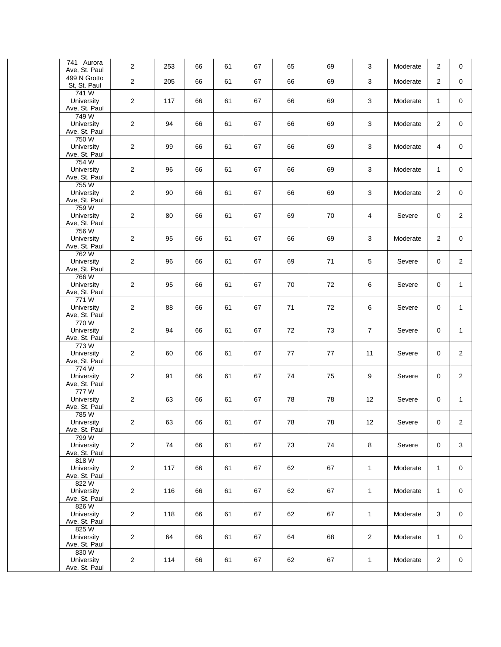| 741 Aurora<br>Ave, St. Paul          | $\overline{2}$ | 253 | 66 | 61 | 67 | 65 | 69 | 3              | Moderate | 2              | 0              |
|--------------------------------------|----------------|-----|----|----|----|----|----|----------------|----------|----------------|----------------|
| 499 N Grotto<br>St, St. Paul         | $\overline{2}$ | 205 | 66 | 61 | 67 | 66 | 69 | 3              | Moderate | 2              | $\mathbf 0$    |
| 741W<br>University<br>Ave, St. Paul  | $\overline{2}$ | 117 | 66 | 61 | 67 | 66 | 69 | 3              | Moderate | $\mathbf{1}$   | $\mathbf 0$    |
| 749W<br>University<br>Ave, St. Paul  | $\overline{2}$ | 94  | 66 | 61 | 67 | 66 | 69 | 3              | Moderate | $\overline{2}$ | $\mathbf 0$    |
| 750W<br>University<br>Ave, St. Paul  | $\overline{2}$ | 99  | 66 | 61 | 67 | 66 | 69 | 3              | Moderate | 4              | $\mathbf 0$    |
| 754 W<br>University<br>Ave, St. Paul | $\overline{2}$ | 96  | 66 | 61 | 67 | 66 | 69 | 3              | Moderate | $\mathbf{1}$   | $\mathbf 0$    |
| 755 W<br>University<br>Ave, St. Paul | $\overline{2}$ | 90  | 66 | 61 | 67 | 66 | 69 | 3              | Moderate | 2              | $\mathbf 0$    |
| 759 W<br>University<br>Ave, St. Paul | $\overline{2}$ | 80  | 66 | 61 | 67 | 69 | 70 | 4              | Severe   | 0              | $\overline{2}$ |
| 756W<br>University<br>Ave, St. Paul  | $\overline{2}$ | 95  | 66 | 61 | 67 | 66 | 69 | 3              | Moderate | 2              | $\mathbf 0$    |
| 762W<br>University<br>Ave, St. Paul  | $\overline{2}$ | 96  | 66 | 61 | 67 | 69 | 71 | 5              | Severe   | $\mathbf 0$    | $\overline{2}$ |
| 766W<br>University<br>Ave, St. Paul  | $\overline{2}$ | 95  | 66 | 61 | 67 | 70 | 72 | 6              | Severe   | 0              | $\mathbf{1}$   |
| 771W<br>University<br>Ave, St. Paul  | $\overline{2}$ | 88  | 66 | 61 | 67 | 71 | 72 | 6              | Severe   | $\mathbf 0$    | $\mathbf{1}$   |
| 770W<br>University<br>Ave, St. Paul  | $\overline{2}$ | 94  | 66 | 61 | 67 | 72 | 73 | $\overline{7}$ | Severe   | 0              | $\mathbf{1}$   |
| 773W<br>University<br>Ave, St. Paul  | $\overline{2}$ | 60  | 66 | 61 | 67 | 77 | 77 | 11             | Severe   | 0              | 2              |
| 774W<br>University<br>Ave, St. Paul  | $\overline{2}$ | 91  | 66 | 61 | 67 | 74 | 75 | 9              | Severe   | $\mathbf 0$    | $\overline{2}$ |
| 777W<br>University<br>Ave, St. Paul  | $\overline{2}$ | 63  | 66 | 61 | 67 | 78 | 78 | 12             | Severe   | 0              | $\mathbf{1}$   |
| 785 W<br>University<br>Ave, St. Paul | 2              | 63  | 66 | 61 | 67 | 78 | 78 | 12             | Severe   | 0              | $\overline{c}$ |
| 799W<br>University<br>Ave, St. Paul  | $\overline{2}$ | 74  | 66 | 61 | 67 | 73 | 74 | 8              | Severe   | $\mathbf 0$    | 3              |
| 818W<br>University<br>Ave, St. Paul  | $\overline{c}$ | 117 | 66 | 61 | 67 | 62 | 67 | $\mathbf{1}$   | Moderate | $\mathbf{1}$   | 0              |
| 822W<br>University<br>Ave, St. Paul  | $\overline{a}$ | 116 | 66 | 61 | 67 | 62 | 67 | $\mathbf{1}$   | Moderate | $\mathbf{1}$   | $\mathbf 0$    |
| 826W<br>University<br>Ave, St. Paul  | $\overline{c}$ | 118 | 66 | 61 | 67 | 62 | 67 | $\mathbf{1}$   | Moderate | 3              | $\mathbf 0$    |
| 825W<br>University<br>Ave, St. Paul  | $\overline{c}$ | 64  | 66 | 61 | 67 | 64 | 68 | $\overline{c}$ | Moderate | $\mathbf{1}$   | 0              |
| 830 W<br>University<br>Ave, St. Paul | $\overline{2}$ | 114 | 66 | 61 | 67 | 62 | 67 | $\mathbf{1}$   | Moderate | $\overline{c}$ | $\mathbf 0$    |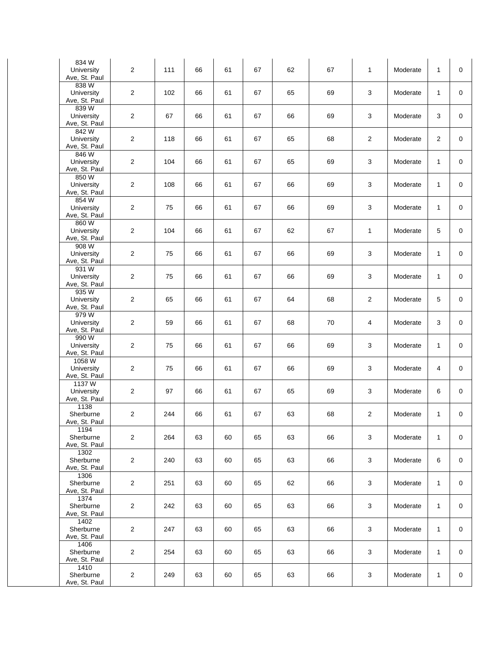| 834W<br>University<br>Ave, St. Paul   | $\overline{2}$ | 111 | 66 | 61 | 67 | 62 | 67 | $\mathbf{1}$   | Moderate | $\mathbf{1}$   | $\mathbf 0$ |
|---------------------------------------|----------------|-----|----|----|----|----|----|----------------|----------|----------------|-------------|
| 838 W<br>University<br>Ave, St. Paul  | $\overline{2}$ | 102 | 66 | 61 | 67 | 65 | 69 | 3              | Moderate | $\mathbf{1}$   | $\mathbf 0$ |
| 839W<br>University<br>Ave, St. Paul   | 2              | 67  | 66 | 61 | 67 | 66 | 69 | 3              | Moderate | 3              | $\mathbf 0$ |
| 842 W<br>University<br>Ave, St. Paul  | $\overline{2}$ | 118 | 66 | 61 | 67 | 65 | 68 | $\overline{2}$ | Moderate | $\overline{2}$ | $\mathbf 0$ |
| 846W<br>University<br>Ave, St. Paul   | 2              | 104 | 66 | 61 | 67 | 65 | 69 | 3              | Moderate | $\mathbf{1}$   | $\mathbf 0$ |
| 850W<br>University<br>Ave, St. Paul   | $\overline{2}$ | 108 | 66 | 61 | 67 | 66 | 69 | 3              | Moderate | $\mathbf{1}$   | 0           |
| 854 W<br>University<br>Ave, St. Paul  | $\overline{2}$ | 75  | 66 | 61 | 67 | 66 | 69 | 3              | Moderate | 1              | $\mathbf 0$ |
| 860W<br>University<br>Ave, St. Paul   | $\overline{2}$ | 104 | 66 | 61 | 67 | 62 | 67 | $\mathbf{1}$   | Moderate | 5              | $\mathbf 0$ |
| 908 W<br>University<br>Ave, St. Paul  | 2              | 75  | 66 | 61 | 67 | 66 | 69 | 3              | Moderate | $\mathbf{1}$   | $\mathbf 0$ |
| 931 W<br>University<br>Ave, St. Paul  | 2              | 75  | 66 | 61 | 67 | 66 | 69 | 3              | Moderate | 1              | $\mathbf 0$ |
| 935W<br>University<br>Ave, St. Paul   | $\overline{2}$ | 65  | 66 | 61 | 67 | 64 | 68 | $\overline{2}$ | Moderate | 5              | $\mathbf 0$ |
| 979W<br>University<br>Ave, St. Paul   | 2              | 59  | 66 | 61 | 67 | 68 | 70 | 4              | Moderate | 3              | $\mathbf 0$ |
| 990 W<br>University<br>Ave, St. Paul  | $\overline{2}$ | 75  | 66 | 61 | 67 | 66 | 69 | 3              | Moderate | $\mathbf{1}$   | $\mathbf 0$ |
| 1058 W<br>University<br>Ave, St. Paul | $\overline{2}$ | 75  | 66 | 61 | 67 | 66 | 69 | 3              | Moderate | 4              | $\mathbf 0$ |
| 1137W<br>University<br>Ave, St. Paul  | $\overline{2}$ | 97  | 66 | 61 | 67 | 65 | 69 | 3              | Moderate | 6              | $\mathbf 0$ |
| 1138<br>Sherburne<br>Ave, St. Paul    | 2              | 244 | 66 | 61 | 67 | 63 | 68 | $\overline{c}$ | Moderate | 1              | 0           |
| 1194<br>Sherburne<br>Ave, St. Paul    | 2              | 264 | 63 | 60 | 65 | 63 | 66 | 3              | Moderate | 1              | 0           |
| 1302<br>Sherburne<br>Ave, St. Paul    | $\sqrt{2}$     | 240 | 63 | 60 | 65 | 63 | 66 | 3              | Moderate | 6              | 0           |
| 1306<br>Sherburne<br>Ave, St. Paul    | 2              | 251 | 63 | 60 | 65 | 62 | 66 | 3              | Moderate | 1              | 0           |
| 1374<br>Sherburne<br>Ave, St. Paul    | 2              | 242 | 63 | 60 | 65 | 63 | 66 | 3              | Moderate | 1              | 0           |
| 1402<br>Sherburne<br>Ave, St. Paul    | $\overline{2}$ | 247 | 63 | 60 | 65 | 63 | 66 | 3              | Moderate | $\mathbf{1}$   | 0           |
| 1406<br>Sherburne<br>Ave, St. Paul    | 2              | 254 | 63 | 60 | 65 | 63 | 66 | 3              | Moderate | 1              | 0           |
| 1410<br>Sherburne<br>Ave, St. Paul    | $\overline{c}$ | 249 | 63 | 60 | 65 | 63 | 66 | 3              | Moderate | 1              | 0           |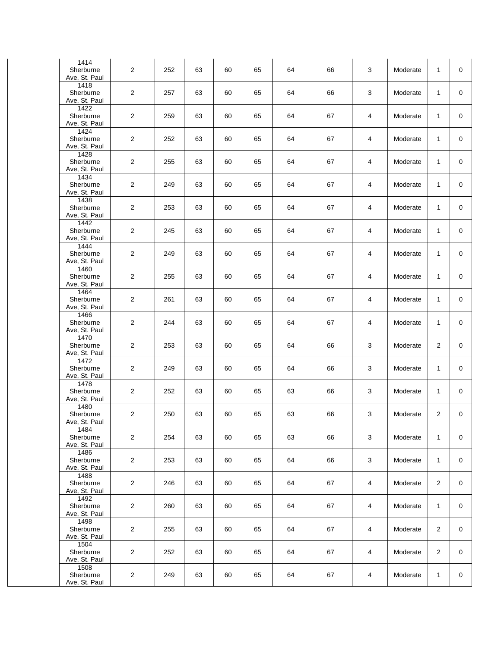| 1414<br>Sherburne<br>Ave, St. Paul | 2              | 252 | 63 | 60 | 65 | 64 | 66 | 3 | Moderate | 1              | $\mathbf 0$ |
|------------------------------------|----------------|-----|----|----|----|----|----|---|----------|----------------|-------------|
| 1418<br>Sherburne<br>Ave, St. Paul | $\overline{2}$ | 257 | 63 | 60 | 65 | 64 | 66 | 3 | Moderate | $\mathbf{1}$   | $\mathbf 0$ |
| 1422<br>Sherburne<br>Ave, St. Paul | $\overline{2}$ | 259 | 63 | 60 | 65 | 64 | 67 | 4 | Moderate | 1              | $\mathbf 0$ |
| 1424<br>Sherburne<br>Ave, St. Paul | $\overline{2}$ | 252 | 63 | 60 | 65 | 64 | 67 | 4 | Moderate | 1              | $\mathbf 0$ |
| 1428<br>Sherburne<br>Ave, St. Paul | $\overline{2}$ | 255 | 63 | 60 | 65 | 64 | 67 | 4 | Moderate | $\mathbf{1}$   | $\mathbf 0$ |
| 1434<br>Sherburne<br>Ave, St. Paul | $\overline{2}$ | 249 | 63 | 60 | 65 | 64 | 67 | 4 | Moderate | 1              | 0           |
| 1438<br>Sherburne<br>Ave, St. Paul | $\overline{2}$ | 253 | 63 | 60 | 65 | 64 | 67 | 4 | Moderate | 1              | $\mathbf 0$ |
| 1442<br>Sherburne<br>Ave, St. Paul | $\overline{2}$ | 245 | 63 | 60 | 65 | 64 | 67 | 4 | Moderate | $\mathbf{1}$   | $\mathbf 0$ |
| 1444<br>Sherburne<br>Ave, St. Paul | $\overline{2}$ | 249 | 63 | 60 | 65 | 64 | 67 | 4 | Moderate | 1              | 0           |
| 1460<br>Sherburne<br>Ave, St. Paul | $\overline{2}$ | 255 | 63 | 60 | 65 | 64 | 67 | 4 | Moderate | 1              | $\mathbf 0$ |
| 1464<br>Sherburne<br>Ave, St. Paul | $\overline{2}$ | 261 | 63 | 60 | 65 | 64 | 67 | 4 | Moderate | $\mathbf{1}$   | $\mathbf 0$ |
| 1466<br>Sherburne<br>Ave, St. Paul | $\overline{2}$ | 244 | 63 | 60 | 65 | 64 | 67 | 4 | Moderate | $\mathbf{1}$   | 0           |
| 1470<br>Sherburne<br>Ave, St. Paul | $\overline{2}$ | 253 | 63 | 60 | 65 | 64 | 66 | 3 | Moderate | 2              | 0           |
| 1472<br>Sherburne<br>Ave, St. Paul | $\overline{2}$ | 249 | 63 | 60 | 65 | 64 | 66 | 3 | Moderate | $\mathbf{1}$   | $\mathbf 0$ |
| 1478<br>Sherburne<br>Ave, St. Paul | 2              | 252 | 63 | 60 | 65 | 63 | 66 | 3 | Moderate | 1              | 0           |
| 1480<br>Sherburne<br>Ave, St. Paul | 2              | 250 | 63 | 60 | 65 | 63 | 66 | 3 | Moderate | 2              | 0           |
| 1484<br>Sherburne<br>Ave, St. Paul | 2              | 254 | 63 | 60 | 65 | 63 | 66 | 3 | Moderate | 1              | 0           |
| 1486<br>Sherburne<br>Ave, St. Paul | $\overline{c}$ | 253 | 63 | 60 | 65 | 64 | 66 | 3 | Moderate | $\mathbf{1}$   | $\mathbf 0$ |
| 1488<br>Sherburne<br>Ave, St. Paul | $\overline{2}$ | 246 | 63 | 60 | 65 | 64 | 67 | 4 | Moderate | $\overline{2}$ | $\mathbf 0$ |
| 1492<br>Sherburne<br>Ave, St. Paul | 2              | 260 | 63 | 60 | 65 | 64 | 67 | 4 | Moderate | 1              | 0           |
| 1498<br>Sherburne<br>Ave, St. Paul | $\overline{2}$ | 255 | 63 | 60 | 65 | 64 | 67 | 4 | Moderate | $\overline{2}$ | 0           |
| 1504<br>Sherburne<br>Ave, St. Paul | $\overline{2}$ | 252 | 63 | 60 | 65 | 64 | 67 | 4 | Moderate | $\overline{2}$ | $\mathbf 0$ |
| 1508<br>Sherburne<br>Ave, St. Paul | $\overline{2}$ | 249 | 63 | 60 | 65 | 64 | 67 | 4 | Moderate | 1              | 0           |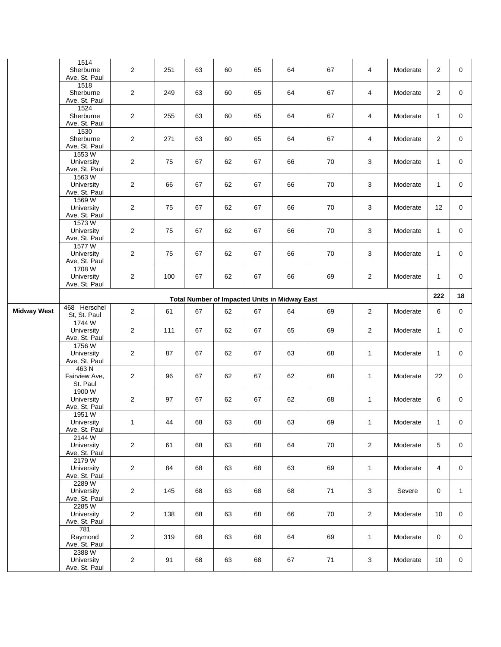|                    | 1514<br>Sherburne<br>Ave, St. Paul    | $\overline{2}$ | 251 | 63 | 60 | 65 | 64                                                   | 67 | 4              | Moderate | $\overline{2}$ | 0            |
|--------------------|---------------------------------------|----------------|-----|----|----|----|------------------------------------------------------|----|----------------|----------|----------------|--------------|
|                    | 1518<br>Sherburne<br>Ave, St. Paul    | $\overline{2}$ | 249 | 63 | 60 | 65 | 64                                                   | 67 | 4              | Moderate | $\overline{2}$ | $\mathbf 0$  |
|                    | 1524<br>Sherburne<br>Ave, St. Paul    | 2              | 255 | 63 | 60 | 65 | 64                                                   | 67 | 4              | Moderate | $\mathbf{1}$   | 0            |
|                    | 1530<br>Sherburne<br>Ave, St. Paul    | $\overline{2}$ | 271 | 63 | 60 | 65 | 64                                                   | 67 | 4              | Moderate | $\overline{2}$ | 0            |
|                    | 1553W<br>University<br>Ave, St. Paul  | $\overline{2}$ | 75  | 67 | 62 | 67 | 66                                                   | 70 | 3              | Moderate | $\mathbf{1}$   | 0            |
|                    | 1563W<br>University<br>Ave, St. Paul  | $\overline{2}$ | 66  | 67 | 62 | 67 | 66                                                   | 70 | 3              | Moderate | $\mathbf{1}$   | 0            |
|                    | 1569W<br>University<br>Ave, St. Paul  | $\overline{2}$ | 75  | 67 | 62 | 67 | 66                                                   | 70 | 3              | Moderate | 12             | 0            |
|                    | 1573W<br>University<br>Ave, St. Paul  | $\overline{2}$ | 75  | 67 | 62 | 67 | 66                                                   | 70 | 3              | Moderate | $\mathbf{1}$   | 0            |
|                    | 1577W<br>University<br>Ave, St. Paul  | $\overline{2}$ | 75  | 67 | 62 | 67 | 66                                                   | 70 | 3              | Moderate | $\mathbf{1}$   | 0            |
|                    | 1708W<br>University<br>Ave, St. Paul  | 2              | 100 | 67 | 62 | 67 | 66                                                   | 69 | 2              | Moderate | $\mathbf{1}$   | 0            |
|                    |                                       |                |     |    |    |    | <b>Total Number of Impacted Units in Midway East</b> |    |                |          | 222            | 18           |
| <b>Midway West</b> | 468 Herschel<br>St, St. Paul          | $\overline{2}$ | 61  | 67 | 62 | 67 | 64                                                   | 69 | $\overline{2}$ | Moderate | 6              | 0            |
|                    | 1744 W<br>University<br>Ave, St. Paul | 2              | 111 | 67 | 62 | 67 | 65                                                   | 69 | 2              | Moderate | $\mathbf{1}$   | 0            |
|                    | 1756 W<br>University<br>Ave, St. Paul | $\overline{2}$ | 87  | 67 | 62 | 67 | 63                                                   | 68 | $\mathbf{1}$   | Moderate | $\mathbf{1}$   | 0            |
|                    | 463N<br>Fairview Ave,<br>St. Paul     | $\overline{2}$ | 96  | 67 | 62 | 67 | 62                                                   | 68 | $\mathbf{1}$   | Moderate | 22             | 0            |
|                    | 1900W<br>University<br>Ave, St. Paul  | $\overline{2}$ | 97  | 67 | 62 | 67 | 62                                                   | 68 | $\mathbf{1}$   | Moderate | 6              | 0            |
|                    | 1951W<br>University<br>Ave, St. Paul  | 1              | 44  | 68 | 63 | 68 | 63                                                   | 69 | 1              | Moderate | $\mathbf{1}$   | 0            |
|                    | 2144W<br>University<br>Ave, St. Paul  | $\overline{2}$ | 61  | 68 | 63 | 68 | 64                                                   | 70 | $\overline{2}$ | Moderate | $\overline{5}$ | $\mathbf 0$  |
|                    | 2179W<br>University<br>Ave, St. Paul  | $\overline{2}$ | 84  | 68 | 63 | 68 | 63                                                   | 69 | $\mathbf{1}$   | Moderate | $\overline{4}$ | 0            |
|                    | 2289 W<br>University<br>Ave, St. Paul | $\overline{c}$ | 145 | 68 | 63 | 68 | 68                                                   | 71 | 3              | Severe   | $\mathbf 0$    | $\mathbf{1}$ |
|                    | 2285W<br>University<br>Ave, St. Paul  | $\overline{2}$ | 138 | 68 | 63 | 68 | 66                                                   | 70 | $\overline{2}$ | Moderate | 10             | 0            |
|                    | 781<br>Raymond<br>Ave, St. Paul       | $\overline{2}$ | 319 | 68 | 63 | 68 | 64                                                   | 69 | $\mathbf{1}$   | Moderate | $\mathbf 0$    | 0            |
|                    | 2388W<br>University<br>Ave, St. Paul  | $\overline{a}$ | 91  | 68 | 63 | 68 | 67                                                   | 71 | 3              | Moderate | 10             | 0            |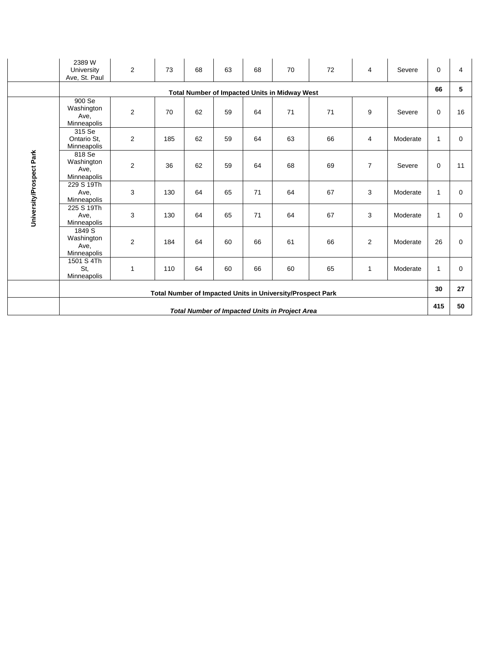|                          | 2389 W<br>University<br>Ave, St. Paul       | $\overline{2}$          | 73  | 68 | 63 | 68 | 70                                                         | 72 | $\overline{4}$ | Severe   | $\mathbf 0$  | 4           |
|--------------------------|---------------------------------------------|-------------------------|-----|----|----|----|------------------------------------------------------------|----|----------------|----------|--------------|-------------|
|                          |                                             |                         |     |    |    |    | <b>Total Number of Impacted Units in Midway West</b>       |    |                |          | 66           | 5           |
|                          | 900 Se<br>Washington<br>Ave,<br>Minneapolis | $\overline{\mathbf{c}}$ | 70  | 62 | 59 | 64 | 71                                                         | 71 | 9              | Severe   | $\mathbf 0$  | 16          |
|                          | 315 Se<br>Ontario St.<br>Minneapolis        | 2                       | 185 | 62 | 59 | 64 | 63                                                         | 66 | 4              | Moderate | 1            | 0           |
| University/Prospect Park | 818 Se<br>Washington<br>Ave,<br>Minneapolis | $\overline{2}$          | 36  | 62 | 59 | 64 | 68                                                         | 69 | $\overline{7}$ | Severe   | $\mathbf 0$  | 11          |
|                          | 229 S 19Th<br>Ave,<br>Minneapolis           | 3                       | 130 | 64 | 65 | 71 | 64                                                         | 67 | 3              | Moderate | $\mathbf{1}$ | $\mathbf 0$ |
|                          | 225 S 19Th<br>Ave,<br>Minneapolis           | 3                       | 130 | 64 | 65 | 71 | 64                                                         | 67 | 3              | Moderate | 1            | 0           |
|                          | 1849 S<br>Washington<br>Ave,<br>Minneapolis | $\overline{2}$          | 184 | 64 | 60 | 66 | 61                                                         | 66 | $\overline{2}$ | Moderate | 26           | $\Omega$    |
|                          | 1501 S 4Th<br>St.<br>Minneapolis            | 1                       | 110 | 64 | 60 | 66 | 60                                                         | 65 | 1              | Moderate | $\mathbf{1}$ | $\Omega$    |
|                          |                                             |                         |     |    |    |    | Total Number of Impacted Units in University/Prospect Park |    |                |          | 30           | 27          |
|                          |                                             |                         |     |    |    |    | <b>Total Number of Impacted Units in Project Area</b>      |    |                |          | 415          | 50          |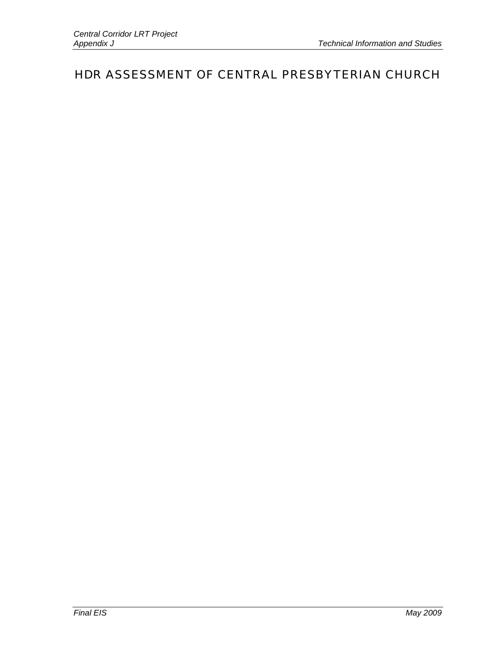## HDR ASSESSMENT OF CENTRAL PRESBYTERIAN CHURCH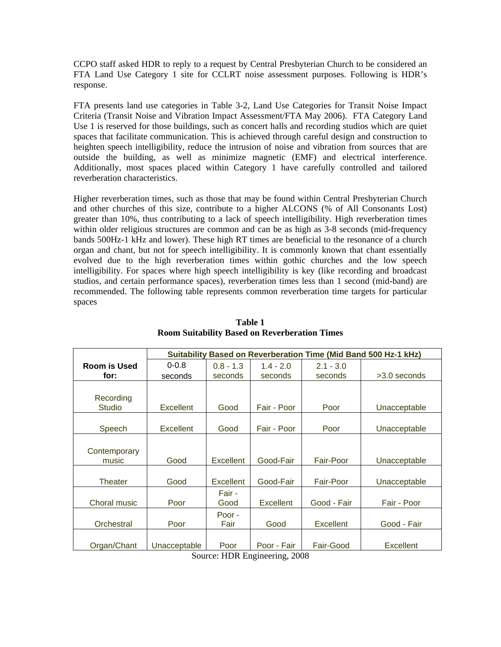CCPO staff asked HDR to reply to a request by Central Presbyterian Church to be considered an FTA Land Use Category 1 site for CCLRT noise assessment purposes. Following is HDR's response.

FTA presents land use categories in Table 3-2, Land Use Categories for Transit Noise Impact Criteria (Transit Noise and Vibration Impact Assessment/FTA May 2006). FTA Category Land Use 1 is reserved for those buildings, such as concert halls and recording studios which are quiet spaces that facilitate communication. This is achieved through careful design and construction to heighten speech intelligibility, reduce the intrusion of noise and vibration from sources that are outside the building, as well as minimize magnetic (EMF) and electrical interference. Additionally, most spaces placed within Category 1 have carefully controlled and tailored reverberation characteristics.

Higher reverberation times, such as those that may be found within Central Presbyterian Church and other churches of this size, contribute to a higher ALCONS (% of All Consonants Lost) greater than 10%, thus contributing to a lack of speech intelligibility. High reverberation times within older religious structures are common and can be as high as 3-8 seconds (mid-frequency bands 500Hz-1 kHz and lower). These high RT times are beneficial to the resonance of a church organ and chant, but not for speech intelligibility. It is commonly known that chant essentially evolved due to the high reverberation times within gothic churches and the low speech intelligibility. For spaces where high speech intelligibility is key (like recording and broadcast studios, and certain performance spaces), reverberation times less than 1 second (mid-band) are recommended. The following table represents common reverberation time targets for particular spaces

|                     |              |             |             |             | Suitability Based on Reverberation Time (Mid Band 500 Hz-1 kHz) |
|---------------------|--------------|-------------|-------------|-------------|-----------------------------------------------------------------|
| <b>Room is Used</b> | $0 - 0.8$    | $0.8 - 1.3$ | $1.4 - 2.0$ | $2.1 - 3.0$ |                                                                 |
| for:                | seconds      | seconds     | seconds     | seconds     | $>3.0$ seconds                                                  |
|                     |              |             |             |             |                                                                 |
| Recording           |              |             |             |             |                                                                 |
| Studio              | Excellent    | Good        | Fair - Poor | Poor        | Unacceptable                                                    |
|                     |              |             |             |             |                                                                 |
| Speech              | Excellent    | Good        | Fair - Poor | Poor        | Unacceptable                                                    |
|                     |              |             |             |             |                                                                 |
| Contemporary        |              |             |             |             |                                                                 |
| music               | Good         | Excellent   | Good-Fair   | Fair-Poor   | Unacceptable                                                    |
|                     |              |             |             |             |                                                                 |
| Theater             | Good         | Excellent   | Good-Fair   | Fair-Poor   | Unacceptable                                                    |
|                     |              | Fair -      |             |             |                                                                 |
| Choral music        | Poor         | Good        | Excellent   | Good - Fair | Fair - Poor                                                     |
|                     |              | Poor -      |             |             |                                                                 |
| Orchestral          | Poor         | Fair        | Good        | Excellent   | Good - Fair                                                     |
|                     |              |             |             |             |                                                                 |
| Organ/Chant         | Unacceptable | Poor        | Poor - Fair | Fair-Good   | Excellent                                                       |

**Table 1 Room Suitability Based on Reverberation Times** 

Source: HDR Engineering, 2008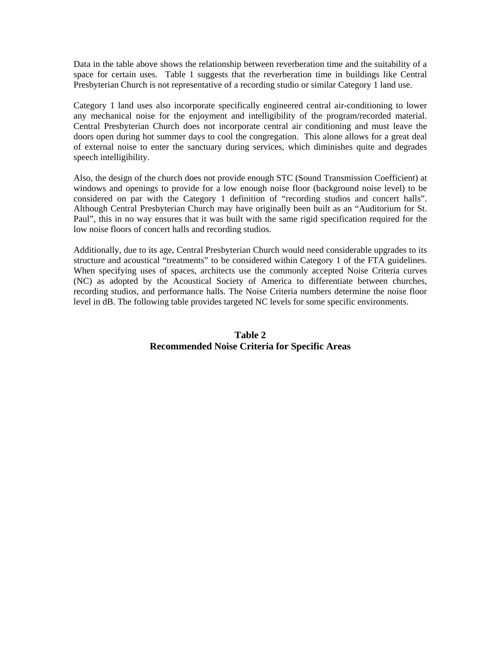Data in the table above shows the relationship between reverberation time and the suitability of a space for certain uses. Table 1 suggests that the reverberation time in buildings like Central Presbyterian Church is not representative of a recording studio or similar Category 1 land use.

Category 1 land uses also incorporate specifically engineered central air-conditioning to lower any mechanical noise for the enjoyment and intelligibility of the program/recorded material. Central Presbyterian Church does not incorporate central air conditioning and must leave the doors open during hot summer days to cool the congregation. This alone allows for a great deal of external noise to enter the sanctuary during services, which diminishes quite and degrades speech intelligibility.

Also, the design of the church does not provide enough STC (Sound Transmission Coefficient) at windows and openings to provide for a low enough noise floor (background noise level) to be considered on par with the Category 1 definition of "recording studios and concert halls". Although Central Presbyterian Church may have originally been built as an "Auditorium for St. Paul", this in no way ensures that it was built with the same rigid specification required for the low noise floors of concert halls and recording studios.

Additionally, due to its age, Central Presbyterian Church would need considerable upgrades to its structure and acoustical "treatments" to be considered within Category 1 of the FTA guidelines. When specifying uses of spaces, architects use the commonly accepted Noise Criteria curves (NC) as adopted by the Acoustical Society of America to differentiate between churches, recording studios, and performance halls. The Noise Criteria numbers determine the noise floor level in dB. The following table provides targeted NC levels for some specific environments.

## **Table 2 Recommended Noise Criteria for Specific Areas**